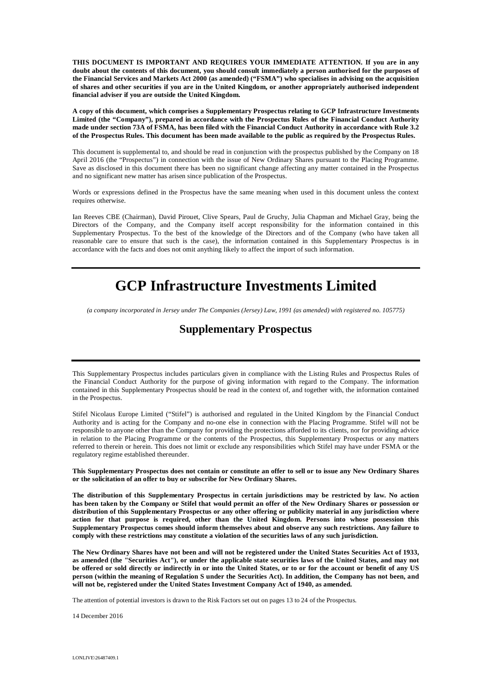**THIS DOCUMENT IS IMPORTANT AND REQUIRES YOUR IMMEDIATE ATTENTION. If you are in any doubt about the contents of this document, you should consult immediately a person authorised for the purposes of**  the Financial Services and Markets Act 2000 (as amended) ("FSMA") who specialises in advising on the acquisition **of shares and other securities if you are in the United Kingdom, or another appropriately authorised independent financial adviser if you are outside the United Kingdom.**

**A copy of this document, which comprises a Supplementary Prospectus relating to GCP Infrastructure Investments Limited (the "Company"), prepared in accordance with the Prospectus Rules of the Financial Conduct Authority made under section 73A of FSMA, has been filed with the Financial Conduct Authority in accordance with Rule 3.2 of the Prospectus Rules. This document has been made available to the public as required by the Prospectus Rules.**

This document is supplemental to, and should be read in conjunction with the prospectus published by the Company on 18 April 2016 (the "Prospectus") in connection with the issue of New Ordinary Shares pursuant to the Placing Programme. Save as disclosed in this document there has been no significant change affecting any matter contained in the Prospectus and no significant new matter has arisen since publication of the Prospectus.

Words or expressions defined in the Prospectus have the same meaning when used in this document unless the context requires otherwise.

Ian Reeves CBE (Chairman), David Pirouet, Clive Spears, Paul de Gruchy, Julia Chapman and Michael Gray, being the Directors of the Company, and the Company itself accept responsibility for the information contained in this Supplementary Prospectus. To the best of the knowledge of the Directors and of the Company (who have taken all reasonable care to ensure that such is the case), the information contained in this Supplementary Prospectus is in accordance with the facts and does not omit anything likely to affect the import of such information.

# **GCP Infrastructure Investments Limited**

*(a company incorporated in Jersey under The Companies (Jersey) Law, 1991 (as amended) with registered no. 105775)*

## **Supplementary Prospectus**

This Supplementary Prospectus includes particulars given in compliance with the Listing Rules and Prospectus Rules of the Financial Conduct Authority for the purpose of giving information with regard to the Company. The information contained in this Supplementary Prospectus should be read in the context of, and together with, the information contained in the Prospectus.

Stifel Nicolaus Europe Limited ("Stifel") is authorised and regulated in the United Kingdom by the Financial Conduct Authority and is acting for the Company and no-one else in connection with the Placing Programme. Stifel will not be responsible to anyone other than the Company for providing the protections afforded to its clients, nor for providing advice in relation to the Placing Programme or the contents of the Prospectus, this Supplementary Prospectus or any matters referred to therein or herein. This does not limit or exclude any responsibilities which Stifel may have under FSMA or the regulatory regime established thereunder.

**This Supplementary Prospectus does not contain or constitute an offer to sell or to issue any New Ordinary Shares or the solicitation of an offer to buy or subscribe for New Ordinary Shares.**

**The distribution of this Supplementary Prospectus in certain jurisdictions may be restricted by law. No action has been taken by the Company or Stifel that would permit an offer of the New Ordinary Shares or possession or distribution of this Supplementary Prospectus or any other offering or publicity material in any jurisdiction where action for that purpose is required, other than the United Kingdom. Persons into whose possession this Supplementary Prospectus comes should inform themselves about and observe any such restrictions. Any failure to comply with these restrictions may constitute a violation of the securities laws of any such jurisdiction.**

**The New Ordinary Shares have not been and will not be registered under the United States Securities Act of 1933, as amended (the "Securities Act"), or under the applicable state securities laws of the United States, and may not be offered or sold directly or indirectly in or into the United States, or to or for the account or benefit of any US person (within the meaning of Regulation S under the Securities Act). In addition, the Company has not been, and will not be, registered under the United States Investment Company Act of 1940, as amended.**

The attention of potential investors is drawn to the Risk Factors set out on pages 13 to 24 of the Prospectus.

14 December 2016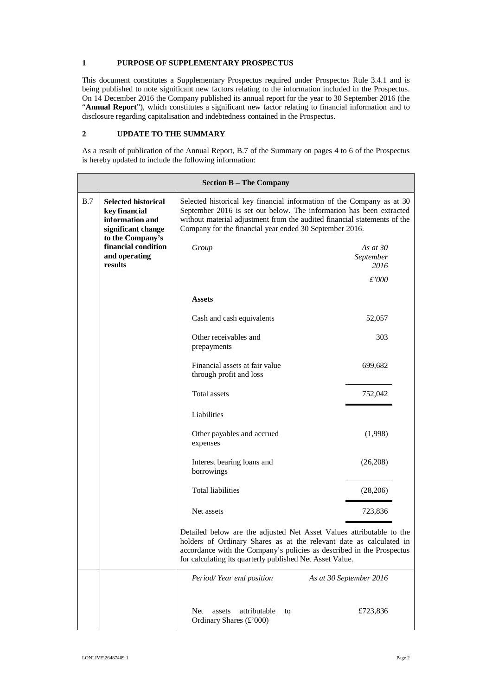#### **1 PURPOSE OF SUPPLEMENTARY PROSPECTUS**

This document constitutes a Supplementary Prospectus required under Prospectus Rule 3.4.1 and is being published to note significant new factors relating to the information included in the Prospectus. On 14 December 2016 the Company published its annual report for the year to 30 September 2016 (the "**Annual Report**"), which constitutes a significant new factor relating to financial information and to disclosure regarding capitalisation and indebtedness contained in the Prospectus.

### **2 UPDATE TO THE SUMMARY**

As a result of publication of the Annual Report, B.7 of the Summary on pages 4 to 6 of the Prospectus is hereby updated to include the following information:

| <b>Section B - The Company</b> |                                                                                      |                                                                                                                                                                                                                                                                                     |                                 |  |
|--------------------------------|--------------------------------------------------------------------------------------|-------------------------------------------------------------------------------------------------------------------------------------------------------------------------------------------------------------------------------------------------------------------------------------|---------------------------------|--|
| B.7                            | <b>Selected historical</b><br>key financial<br>information and<br>significant change | Selected historical key financial information of the Company as at 30<br>September 2016 is set out below. The information has been extracted<br>without material adjustment from the audited financial statements of the<br>Company for the financial year ended 30 September 2016. |                                 |  |
|                                | to the Company's<br>financial condition<br>and operating<br>results                  | Group                                                                                                                                                                                                                                                                               | As at $30$<br>September<br>2016 |  |
|                                |                                                                                      |                                                                                                                                                                                                                                                                                     | £'000                           |  |
|                                |                                                                                      | <b>Assets</b>                                                                                                                                                                                                                                                                       |                                 |  |
|                                |                                                                                      | Cash and cash equivalents                                                                                                                                                                                                                                                           | 52,057                          |  |
|                                |                                                                                      | Other receivables and<br>prepayments                                                                                                                                                                                                                                                | 303                             |  |
|                                |                                                                                      | Financial assets at fair value<br>through profit and loss                                                                                                                                                                                                                           | 699,682                         |  |
|                                |                                                                                      | Total assets                                                                                                                                                                                                                                                                        | 752,042                         |  |
|                                |                                                                                      | Liabilities                                                                                                                                                                                                                                                                         |                                 |  |
|                                |                                                                                      | Other payables and accrued<br>expenses                                                                                                                                                                                                                                              | (1,998)                         |  |
|                                |                                                                                      | Interest bearing loans and<br>borrowings                                                                                                                                                                                                                                            | (26, 208)                       |  |
|                                |                                                                                      | <b>Total liabilities</b>                                                                                                                                                                                                                                                            | (28, 206)                       |  |
|                                |                                                                                      | Net assets                                                                                                                                                                                                                                                                          | 723,836                         |  |
|                                |                                                                                      | Detailed below are the adjusted Net Asset Values attributable to the<br>holders of Ordinary Shares as at the relevant date as calculated in<br>accordance with the Company's policies as described in the Prospectus<br>for calculating its quarterly published Net Asset Value.    |                                 |  |
|                                |                                                                                      | Period/Year end position                                                                                                                                                                                                                                                            | As at 30 September 2016         |  |
|                                |                                                                                      | attributable<br><b>Net</b><br>assets<br>to<br>Ordinary Shares (£'000)                                                                                                                                                                                                               | £723,836                        |  |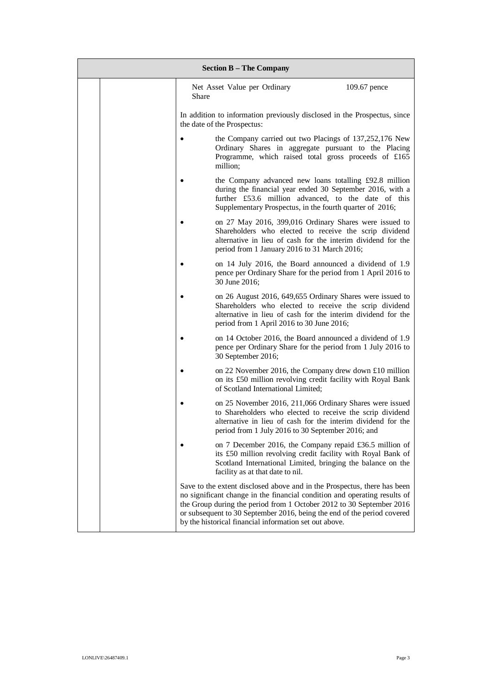| <b>Section B - The Company</b> |                                                                                                                                                                                                                                                                                                                                                                    |  |  |  |
|--------------------------------|--------------------------------------------------------------------------------------------------------------------------------------------------------------------------------------------------------------------------------------------------------------------------------------------------------------------------------------------------------------------|--|--|--|
|                                | Net Asset Value per Ordinary<br>109.67 pence<br>Share                                                                                                                                                                                                                                                                                                              |  |  |  |
|                                | In addition to information previously disclosed in the Prospectus, since<br>the date of the Prospectus:                                                                                                                                                                                                                                                            |  |  |  |
|                                | the Company carried out two Placings of 137,252,176 New<br>٠<br>Ordinary Shares in aggregate pursuant to the Placing<br>Programme, which raised total gross proceeds of £165<br>million;                                                                                                                                                                           |  |  |  |
|                                | the Company advanced new loans totalling £92.8 million<br>during the financial year ended 30 September 2016, with a<br>further £53.6 million advanced, to the date of this<br>Supplementary Prospectus, in the fourth quarter of 2016;                                                                                                                             |  |  |  |
|                                | on 27 May 2016, 399,016 Ordinary Shares were issued to<br>٠<br>Shareholders who elected to receive the scrip dividend<br>alternative in lieu of cash for the interim dividend for the<br>period from 1 January 2016 to 31 March 2016;                                                                                                                              |  |  |  |
|                                | on 14 July 2016, the Board announced a dividend of 1.9<br>$\bullet$<br>pence per Ordinary Share for the period from 1 April 2016 to<br>30 June 2016;                                                                                                                                                                                                               |  |  |  |
|                                | on 26 August 2016, 649, 655 Ordinary Shares were issued to<br>Shareholders who elected to receive the scrip dividend<br>alternative in lieu of cash for the interim dividend for the<br>period from 1 April 2016 to 30 June 2016;                                                                                                                                  |  |  |  |
|                                | on 14 October 2016, the Board announced a dividend of 1.9<br>$\bullet$<br>pence per Ordinary Share for the period from 1 July 2016 to<br>30 September 2016;                                                                                                                                                                                                        |  |  |  |
|                                | on 22 November 2016, the Company drew down £10 million<br>٠<br>on its £50 million revolving credit facility with Royal Bank<br>of Scotland International Limited;                                                                                                                                                                                                  |  |  |  |
|                                | on 25 November 2016, 211,066 Ordinary Shares were issued<br>to Shareholders who elected to receive the scrip dividend<br>alternative in lieu of cash for the interim dividend for the<br>period from 1 July 2016 to 30 September 2016; and                                                                                                                         |  |  |  |
|                                | on 7 December 2016, the Company repaid £36.5 million of<br>its £50 million revolving credit facility with Royal Bank of<br>Scotland International Limited, bringing the balance on the<br>facility as at that date to nil.                                                                                                                                         |  |  |  |
|                                | Save to the extent disclosed above and in the Prospectus, there has been<br>no significant change in the financial condition and operating results of<br>the Group during the period from 1 October 2012 to 30 September 2016<br>or subsequent to 30 September 2016, being the end of the period covered<br>by the historical financial information set out above. |  |  |  |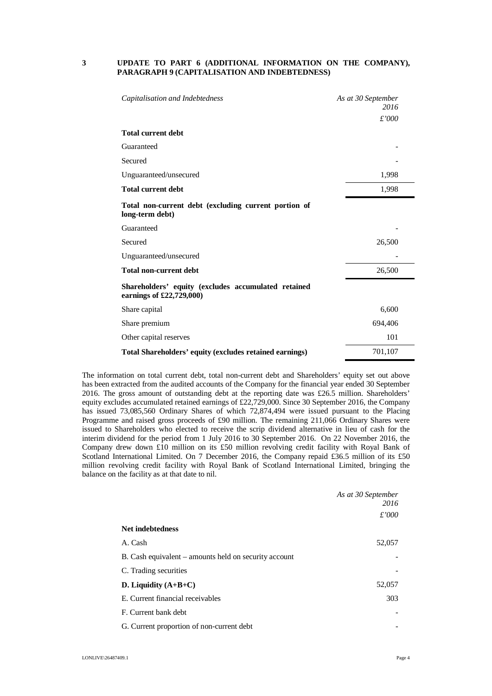#### **3 UPDATE TO PART 6 (ADDITIONAL INFORMATION ON THE COMPANY), PARAGRAPH 9 (CAPITALISATION AND INDEBTEDNESS)**

| Capitalisation and Indebtedness                                                 | As at 30 September<br>2016 |
|---------------------------------------------------------------------------------|----------------------------|
|                                                                                 | £'000                      |
| <b>Total current debt</b>                                                       |                            |
| Guaranteed                                                                      |                            |
| Secured                                                                         |                            |
| Unguaranteed/unsecured                                                          | 1,998                      |
| <b>Total current debt</b>                                                       | 1,998                      |
| Total non-current debt (excluding current portion of<br>long-term debt)         |                            |
| Guaranteed                                                                      |                            |
| Secured                                                                         | 26,500                     |
| Unguaranteed/unsecured                                                          |                            |
| <b>Total non-current debt</b>                                                   | 26,500                     |
| Shareholders' equity (excludes accumulated retained<br>earnings of £22,729,000) |                            |
| Share capital                                                                   | 6,600                      |
| Share premium                                                                   | 694,406                    |
| Other capital reserves                                                          | 101                        |
| Total Shareholders' equity (excludes retained earnings)                         | 701,107                    |

The information on total current debt, total non-current debt and Shareholders' equity set out above has been extracted from the audited accounts of the Company for the financial year ended 30 September 2016. The gross amount of outstanding debt at the reporting date was £26.5 million. Shareholders' equity excludes accumulated retained earnings of £22,729,000. Since 30 September 2016, the Company has issued 73,085,560 Ordinary Shares of which 72,874,494 were issued pursuant to the Placing Programme and raised gross proceeds of £90 million. The remaining 211,066 Ordinary Shares were issued to Shareholders who elected to receive the scrip dividend alternative in lieu of cash for the interim dividend for the period from 1 July 2016 to 30 September 2016. On 22 November 2016, the Company drew down £10 million on its £50 million revolving credit facility with Royal Bank of Scotland International Limited. On 7 December 2016, the Company repaid £36.5 million of its £50 million revolving credit facility with Royal Bank of Scotland International Limited, bringing the balance on the facility as at that date to nil.

|                                                       | As at 30 September |
|-------------------------------------------------------|--------------------|
|                                                       | 2016               |
|                                                       | £'000              |
| <b>Net indebtedness</b>                               |                    |
| A. Cash                                               | 52,057             |
| B. Cash equivalent – amounts held on security account |                    |
| C. Trading securities                                 |                    |
| D. Liquidity $(A+B+C)$                                | 52,057             |
| E. Current financial receivables                      | 303                |
| F. Current bank debt                                  |                    |
| G. Current proportion of non-current debt             |                    |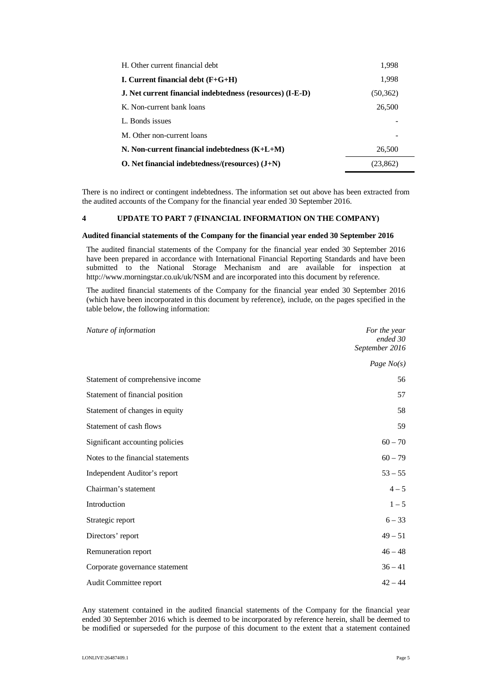| H. Other current financial debt                           | 1,998     |
|-----------------------------------------------------------|-----------|
| I. Current financial debt $(F+G+H)$                       | 1,998     |
| J. Net current financial indebtedness (resources) (I-E-D) | (50, 362) |
| K. Non-current bank loans                                 | 26,500    |
| L. Bonds issues                                           |           |
| M. Other non-current loans                                |           |
| N. Non-current financial indebtedness $(K+L+M)$           | 26,500    |
| O. Net financial indebtedness/(resources) $(J+N)$         | (23,862)  |

There is no indirect or contingent indebtedness. The information set out above has been extracted from the audited accounts of the Company for the financial year ended 30 September 2016.

#### **4 UPDATE TO PART 7 (FINANCIAL INFORMATION ON THE COMPANY)**

#### **Audited financial statements of the Company for the financial year ended 30 September 2016**

The audited financial statements of the Company for the financial year ended 30 September 2016 have been prepared in accordance with International Financial Reporting Standards and have been submitted to the National Storage Mechanism and are available for inspection at http://www.morningstar.co.uk/uk/NSM and are incorporated into this document by reference.

The audited financial statements of the Company for the financial year ended 30 September 2016 (which have been incorporated in this document by reference), include, on the pages specified in the table below, the following information:

| Nature of information             | For the year<br>ended 30<br>September 2016 |
|-----------------------------------|--------------------------------------------|
|                                   | Page $No(s)$                               |
| Statement of comprehensive income | 56                                         |
| Statement of financial position   | 57                                         |
| Statement of changes in equity    | 58                                         |
| Statement of cash flows           | 59                                         |
| Significant accounting policies   | $60 - 70$                                  |
| Notes to the financial statements | $60 - 79$                                  |
| Independent Auditor's report      | $53 - 55$                                  |
| Chairman's statement              | $4 - 5$                                    |
| Introduction                      | $1 - 5$                                    |
| Strategic report                  | $6 - 33$                                   |
| Directors' report                 | $49 - 51$                                  |
| Remuneration report               | $46 - 48$                                  |
| Corporate governance statement    | $36 - 41$                                  |
| Audit Committee report            | $42 - 44$                                  |

Any statement contained in the audited financial statements of the Company for the financial year ended 30 September 2016 which is deemed to be incorporated by reference herein, shall be deemed to be modified or superseded for the purpose of this document to the extent that a statement contained